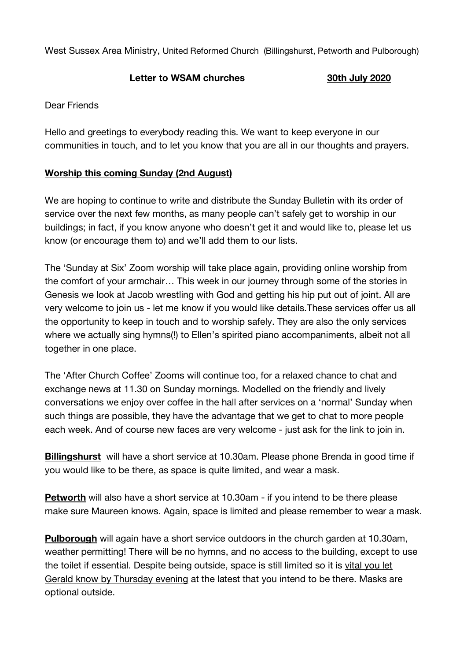West Sussex Area Ministry, United Reformed Church (Billingshurst, Petworth and Pulborough)

## **Letter to WSAM churches 30th July 2020**

## Dear Friends

Hello and greetings to everybody reading this. We want to keep everyone in our communities in touch, and to let you know that you are all in our thoughts and prayers.

## **Worship this coming Sunday (2nd August)**

We are hoping to continue to write and distribute the Sunday Bulletin with its order of service over the next few months, as many people can't safely get to worship in our buildings; in fact, if you know anyone who doesn't get it and would like to, please let us know (or encourage them to) and we'll add them to our lists.

The 'Sunday at Six' Zoom worship will take place again, providing online worship from the comfort of your armchair… This week in our journey through some of the stories in Genesis we look at Jacob wrestling with God and getting his hip put out of joint. All are very welcome to join us - let me know if you would like details.These services offer us all the opportunity to keep in touch and to worship safely. They are also the only services where we actually sing hymns(!) to Ellen's spirited piano accompaniments, albeit not all together in one place.

The 'After Church Coffee' Zooms will continue too, for a relaxed chance to chat and exchange news at 11.30 on Sunday mornings. Modelled on the friendly and lively conversations we enjoy over coffee in the hall after services on a 'normal' Sunday when such things are possible, they have the advantage that we get to chat to more people each week. And of course new faces are very welcome - just ask for the link to join in.

**Billingshurst** will have a short service at 10.30am. Please phone Brenda in good time if you would like to be there, as space is quite limited, and wear a mask.

**Petworth** will also have a short service at 10.30am - if you intend to be there please make sure Maureen knows. Again, space is limited and please remember to wear a mask.

**Pulborough** will again have a short service outdoors in the church garden at 10.30am, weather permitting! There will be no hymns, and no access to the building, except to use the toilet if essential. Despite being outside, space is still limited so it is vital you let Gerald know by Thursday evening at the latest that you intend to be there. Masks are optional outside.